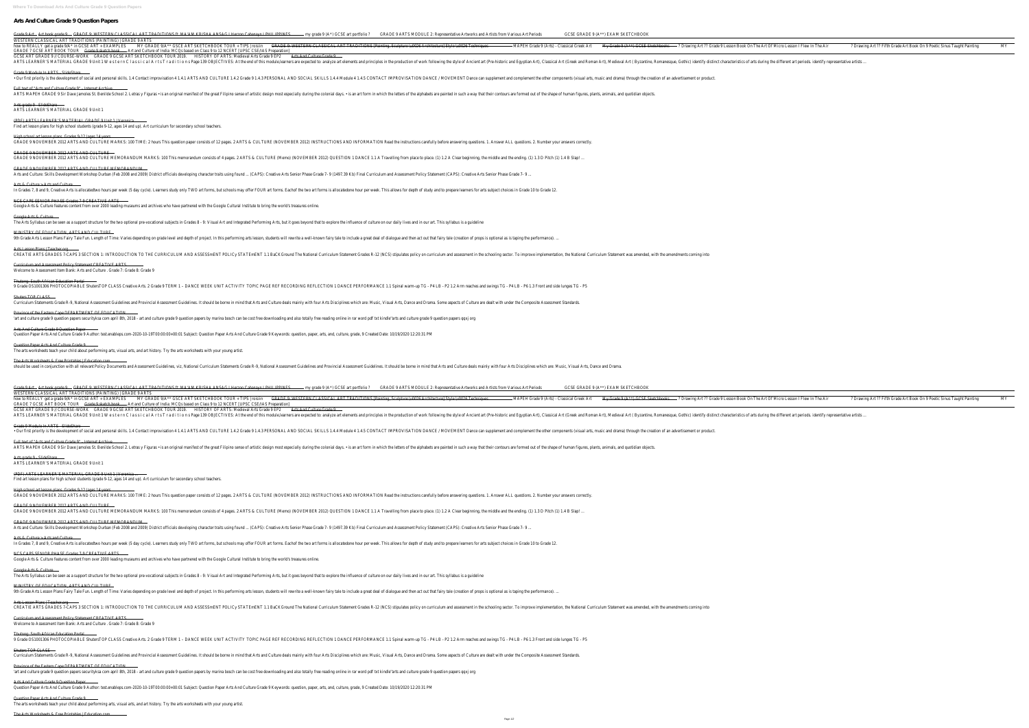## **Arts And Culture Grade 9 Question Papers**

NCS CAPS SENIOR PHASE Grades 7-9 CREATIVE ARTS Google Arts & Culture features content from over 2000 leading museums and archives who have partnered with the Google Cultural Institute to bring the world's treasures online.

Province of the Eastern Cape DEPARTMENT OF EDUCATION 'art and culture grade 9 question papers securityksa com april 8th, 2018 - art and culture grade 9 question papers by marina bosch can be cost free downloading and also totally free reading online in rar word pdf txt kindl

Arts & Culture > Arts and Culture

In Grades 7, 8 and 9, Creative Arts is allocatedtwo hours per week (5 day cycle). Learners study only TWO art forms, but schools may offer FOUR art forms is allocatedone hour per week. This allows for depth of study and to

Google Arts & Culture

The Arts Syllabus can be seen as a support structure for the two optional pre-vocational subjects in Grades 8 - 9: Visual Art and Integrated Performing Arts, but it goes beyond that to explore the influence of culture on o

MINISTRY OF EDUCATION, ARTS AND CULTURE

Arts Lesson Plans | Teacher.org

CREATIE ARTS GRADES 7-CAPS 3 SECTION 1: INTRODUCTION TO THE CURRICULUM AND ASSESSMENT POLICy STATEMENT 1.1 BaCKGround The National Curriculum Statement Grades R-12 (NCS) stipulates policy on curriculum and assessment in th

Curriculum and Assessment Policy Statement CREATIVE ARTS Welcome to Assessment Item Bank: Arts and Culture . Grade 7: Grade 8: Grade 9

Thutong: South African Education Portal

9 Grade OS1001306 PHOTOCOPIABLE ShutersTOP CLASS Creative Arts. 2 Grade 9 TERM 1 - DANCE WEEK UNIT ACTIVITY TOPIC PAGE REF RECORDING REFLECTION 1 DANCE PERFORMANCE 1.1 Spinal warm-up TG - P4 LB - P2 1.2 Arm reaches and swi

Shuters TOP CLASS

Curriculum Statements Grade R-9, National Assessment Guidelines and Provincial Assessment Guidelines. It should be borne in mind that Arts and Culture deals mainly with four Arts Disciplines which are: Music, Visual Arts,

Arts And Culture Grade 9 Question Paper

Question Paper Arts And Culture Grade 9 Author: test.enableps.com-2020-10-19T00:00:00+00:01 Subject: Question Paper Arts And Culture Grade 9 Keywords: question, paper, arts, and, culture, grade, 9 Created Date: 10/19/2020

Question Paper Arts And Culture Grade 9 The arts worksheets teach your child about performing arts, visual arts, and art history. Try the arts worksheets with your young artist.

The Arts Worksheets & Free Printables | Education.com

| Arts And Culture Grade 9 Question Papers                                                                                                                                                                                                                                                                                                                                                                                                                                                                                                                                                                                                                                                                                                                                                                                                                                                                                                                                                                                                                                                                                                                                                                                                                                                                                                                                                                                    |
|-----------------------------------------------------------------------------------------------------------------------------------------------------------------------------------------------------------------------------------------------------------------------------------------------------------------------------------------------------------------------------------------------------------------------------------------------------------------------------------------------------------------------------------------------------------------------------------------------------------------------------------------------------------------------------------------------------------------------------------------------------------------------------------------------------------------------------------------------------------------------------------------------------------------------------------------------------------------------------------------------------------------------------------------------------------------------------------------------------------------------------------------------------------------------------------------------------------------------------------------------------------------------------------------------------------------------------------------------------------------------------------------------------------------------------|
| Grade 9 Art - Art book grade 9 - GRADE 9: WESTERN CLASSICAL ART TRADITIONS ft. MA'AM KRISHA ANSAG I Herzon Cabanayn I PHILIPPINES<br>GCSE GRADE 9 (A**) EXAM SKETCHBOOK<br>GRADE 9 ARTS MODULE 2: Representative Artworks and Artists from Various Art Periods<br>- my grade 9 (A*) GCSE art portfolio ?<br>WESTERN CLASSICAL ART TRADITIONS (PAINTING)   GRADE 9 ARTS<br>GRADE 9: WESTERN CLASSICAL ART TRADITIONS [Painting, Sculpture \u0026 Architecture] Style \u0026 Techniques<br>- MAPEH Grade 9 (Arts) - Classical Greek Art<br>My Grade 9 (A**) GCSE Sketchbooks<br>-? Drawing Art ?? Grade 9 Lesson Book On The Art Of Micro Lesson I Flew In The Air<br>MY<br>MY GRADE 9/A** GSCE ART SKETCHBOOK TOUR + TIPS   roisiin<br>? Drawing Art ?? Fifth Grade Art Book On 9 Poetic Sinus Taught Painting<br>how to REALLY get a grade 9/A* in GCSE ART + EXAMPLES<br>GRADE 7 GCSE ART BOOK TOUR<br>- Art and Culture of India: MCQs based on Class 9 to 12 NCERT [UPSC CSE/IAS Preparation]<br><del>Grade 9 sketch book</del><br>GRADE 9 GCSE ART SKETCHBOOK TOUR 2019.<br>HISTORY OF ARTS: Medieval Arts Grade 9 EP2<br>Arts And Culture Grade 9<br>GCSE ART GRADE 9 // COURSE-WORK<br>ARTS LEARNER'S MATERIAL GRADE 9 Unit 1 W e s t ern Classical Arts Tradition s Page 139 OBJECTIVES: At the end of this module,learners are expected to: analyze art elements and principles in the production of work following |
| Grade 9 Module In ARTS - SlideShare<br>• Our first priority is the development of social and personal skills. 1.4 Contact improvisation 4 1.4.1 ARTS AND CULTURE 1.4.2 Grade 9 1.4.3 PERSONAL AND SOCIAL SKILLS 1.4.4 Module 4 1.4.5 CONTACT IMPROVISATION DANCE / MO                                                                                                                                                                                                                                                                                                                                                                                                                                                                                                                                                                                                                                                                                                                                                                                                                                                                                                                                                                                                                                                                                                                                                       |
| Full text of "Arts and Culture Grade 9" - Internet Archive<br>ARTS MAPEH GRADE 9 Sir Dave Jamoles St. Benilde School 2. Letras y Figuras • is an original manifest of the great Filipino sense of artistic design most especially during the colonial days. • is an art form in which the le                                                                                                                                                                                                                                                                                                                                                                                                                                                                                                                                                                                                                                                                                                                                                                                                                                                                                                                                                                                                                                                                                                                                |
| Arts grade 9 - SlideShare <b>compare</b><br>ARTS LEARNER'S MATERIAL GRADE 9 Unit 1                                                                                                                                                                                                                                                                                                                                                                                                                                                                                                                                                                                                                                                                                                                                                                                                                                                                                                                                                                                                                                                                                                                                                                                                                                                                                                                                          |
| (PDF) ARTS LEARNER'S MATERIAL GRADE 9 Unit 1   Veronica<br>Find art lesson plans for high school students (grade 9-12, ages 14 and up). Art curriculum for secondary school teachers.                                                                                                                                                                                                                                                                                                                                                                                                                                                                                                                                                                                                                                                                                                                                                                                                                                                                                                                                                                                                                                                                                                                                                                                                                                       |
| High school art lesson plans. Grades 9-12 (ages 14 years<br>GRADE 9 NOVEMBER 2012 ARTS AND CULTURE MARKS: 100 TIME: 2 hours This question paper consists of 12 pages. 2 ARTS & CULTURE (NOVEMBER 2012) INSTRUCTIONS AND INFORMATION Read the instructions carefully before answering quest                                                                                                                                                                                                                                                                                                                                                                                                                                                                                                                                                                                                                                                                                                                                                                                                                                                                                                                                                                                                                                                                                                                                  |
| GRADE 9 NOVEMBER 2012 ARTS AND CULTURE<br>GRADE 9 NOVEMBER 2012 ARTS AND CULTURE MEMORANDUM MARKS: 100 This memorandum consists of 4 pages. 2 ARTS & CULTURE (Memo) (NOVEMBER 2012) QUESTION 1 DANCE 1.1 A Travelling from place to place. (1) 1.2 A Clear beginning, th                                                                                                                                                                                                                                                                                                                                                                                                                                                                                                                                                                                                                                                                                                                                                                                                                                                                                                                                                                                                                                                                                                                                                    |
| GRADE 9 NOVEMBER 2012 ARTS AND CULTURE MEMORANDUM<br>Arts and Culture: Skills Development Workshop Durban (Feb 2008 and 2009) District officials developing character traits using found  (CAPS): Creative Arts Senior Phase Grade 7- 9 (1497.39 Kb) Final Curriculum and Assess                                                                                                                                                                                                                                                                                                                                                                                                                                                                                                                                                                                                                                                                                                                                                                                                                                                                                                                                                                                                                                                                                                                                            |
| Arts & Culture > Arts and Culture<br>In Grades 7, 8 and 9, Creative Arts is allocatedtwo hours per week (5 day cycle). Learners study only TWO art forms, but schools may offer FOUR art forms is allocatedone hour per week. This allows for depth of study and to                                                                                                                                                                                                                                                                                                                                                                                                                                                                                                                                                                                                                                                                                                                                                                                                                                                                                                                                                                                                                                                                                                                                                         |
| NCS CAPS SENIOR PHASE Grades 7-9 CREATIVE ARTS<br>Google Arts & Culture features content from over 2000 leading museums and archives who have partnered with the Google Cultural Institute to bring the world's treasures online.                                                                                                                                                                                                                                                                                                                                                                                                                                                                                                                                                                                                                                                                                                                                                                                                                                                                                                                                                                                                                                                                                                                                                                                           |
| Google Arts & Culture<br>The Arts Syllabus can be seen as a support structure for the two optional pre-vocational subjects in Grades 8 - 9: Visual Art and Integrated Performing Arts, but it goes beyond that to explore the influence of culture on o                                                                                                                                                                                                                                                                                                                                                                                                                                                                                                                                                                                                                                                                                                                                                                                                                                                                                                                                                                                                                                                                                                                                                                     |
| MINISTRY OF EDUCATION, ARTS AND CULTURE<br>9th Grade Arts Lesson Plans Fairy Tale Fun. Length of Time: Varies depending on grade level and depth of project. In this performing arts lesson, students will rewrite a well-known fairy tale to include a great deal of dia                                                                                                                                                                                                                                                                                                                                                                                                                                                                                                                                                                                                                                                                                                                                                                                                                                                                                                                                                                                                                                                                                                                                                   |
| Arts Lesson Plans   Teacher.org<br>CREATIE ARTS GRADES 7-CAPS 3 SECTION 1: INTRODUCTION TO THE CURRICULUM AND ASSESSMENT POLICy STATEMENT 1.1 BaCKGround The National Curriculum Statement Grades R-12 (NCS) stipulates policy on curriculum and assessment in th                                                                                                                                                                                                                                                                                                                                                                                                                                                                                                                                                                                                                                                                                                                                                                                                                                                                                                                                                                                                                                                                                                                                                           |
| Curriculum and Assessment Policy Statement CREATIVE ARTS<br>Welcome to Assessment Item Bank: Arts and Culture . Grade 7: Grade 8: Grade 9                                                                                                                                                                                                                                                                                                                                                                                                                                                                                                                                                                                                                                                                                                                                                                                                                                                                                                                                                                                                                                                                                                                                                                                                                                                                                   |
| <b>Thutong: South African Education Portal</b><br>9 Grade OS1001306 PHOTOCOPIABLE ShutersTOP CLASS Creative Arts. 2 Grade 9 TERM 1 - DANCE WEEK UNIT ACTIVITY TOPIC PAGE REF RECORDING REFLECTION 1 DANCE PERFORMANCE 1.1 Spinal warm-up TG - P4 LB - P2 1.2 Arm reaches and swi                                                                                                                                                                                                                                                                                                                                                                                                                                                                                                                                                                                                                                                                                                                                                                                                                                                                                                                                                                                                                                                                                                                                            |
| Shuters TOP CLASS<br>Curriculum Statements Grade R-9, National Assessment Guidelines and Provincial Assessment Guidelines. It should be borne in mind that Arts and Culture deals mainly with four Arts Disciplines which are: Music, Visual Arts,                                                                                                                                                                                                                                                                                                                                                                                                                                                                                                                                                                                                                                                                                                                                                                                                                                                                                                                                                                                                                                                                                                                                                                          |
| Province of the Eastern Cape DEPARTMENT OF EDUCATION<br>'art and culture grade 9 question papers securityksa com april 8th, 2018 - art and culture grade 9 question papers by marina bosch can be cost free downloading and also totally free reading online in rar word pdf txt kindl                                                                                                                                                                                                                                                                                                                                                                                                                                                                                                                                                                                                                                                                                                                                                                                                                                                                                                                                                                                                                                                                                                                                      |
| Arts And Culture Grade 9 Question Paper<br>Question Paper Arts And Culture Grade 9 Author: test.enableps.com-2020-10-19T00:00:00+00:01 Subject: Question Paper Arts And Culture Grade 9 Keywords: question, paper, arts, and, culture, grade, 9 Created Date: 10/19/2020                                                                                                                                                                                                                                                                                                                                                                                                                                                                                                                                                                                                                                                                                                                                                                                                                                                                                                                                                                                                                                                                                                                                                    |
| Question Paper Arts And Culture Grade 9<br>The arts worksheets teach your child about performing arts, visual arts, and art history. Try the arts worksheets with your young artist.                                                                                                                                                                                                                                                                                                                                                                                                                                                                                                                                                                                                                                                                                                                                                                                                                                                                                                                                                                                                                                                                                                                                                                                                                                        |
| The Arts Worksheets & Free Printables   Education.com<br>should be used in conjunction with all relevant Policy Documents and Assessment Guidelines, viz, National Curriculum Statements Grade R-9, National Assessment Guidelines and Provincial Assessment Guidelines. It should be b                                                                                                                                                                                                                                                                                                                                                                                                                                                                                                                                                                                                                                                                                                                                                                                                                                                                                                                                                                                                                                                                                                                                     |
| Grade 9 Art Art book grade 9 - GRADE 9: WESTERN CLASSICAL ART TRADITIONS ft. MA'AM KRISHA ANSAG I Herzon Cabanayn I PHILIPPINES<br>GRADE 9 ARTS MODULE 2: Representative Artworks and Artists from Various Art Periods<br>GCSE GRADE 9 (A**) EXAM SKETCHBOOK<br>- my grade 9 (A*) GCSE art portfolio ?<br>WESTERN CLASSICAL ART TRADITIONS (PAINTING)   GRADE 9 ARTS                                                                                                                                                                                                                                                                                                                                                                                                                                                                                                                                                                                                                                                                                                                                                                                                                                                                                                                                                                                                                                                        |
| GRADE 9: WESTERN CLASSICAL ART TRADITIONS [Painting, Sculpture \u0026 Architecture] Style \u0026 Techniques<br>MY GRADE 9/A** GSCE ART SKETCHBOOK TOUR + TIPS   roisiin<br>- MAPEH Grade 9 (Arts) - Classical Greek Art<br>My Grade 9 (A**) GCSE Sketchbooks<br>- ? Drawing Art ?? Grade 9 Lesson Book On The Art Of Micro Lesson I Flew In The Air<br>how to REALLY get a grade 9/A* in GCSE ART + EXAMPLES<br>? Drawing Art ?? Fifth Grade Art Book On 9 Poetic Sinus Taught Painting<br>MY<br>GRADE 7 GCSE ART BOOK TOUR<br>Grade 9 sketch book - - Art and Culture of India: MCQs based on Class 9 to 12 NCERT [UPSC CSE/IAS Preparation]<br>Arts And Culture Grade 9<br>GRADE 9 GCSE ART SKETCHBOOK TOUR 2019.<br>GCSE ART GRADE 9 // COURSE-WORK<br>HISTORY OF ARTS: Medieval Arts Grade 9 EP2<br>ARTS MATERIAL GRADE 9 Unit 1 W e s t ern Classical Arts Tradition s Page 139 OBJECTIVES: At the end of this module,learners are expected to: analyze art elements and principles in the production of work following the style                                                                                                                                                                                                                                                                                                                                                                                      |
| Grade 9 Module In ARTS - SlideShare<br>• Our first priority is the development of social and personal skills. 1.4 Contact improvisation 4 1.4.1 ARTS AND CULTURE 1.4.2 Grade 9 1.4.3 PERSONAL AND SOCIAL SKILLS 1.4.4 Module 4 1.4.5 CONTACT IMPROVISATION DANCE / MO                                                                                                                                                                                                                                                                                                                                                                                                                                                                                                                                                                                                                                                                                                                                                                                                                                                                                                                                                                                                                                                                                                                                                       |
| Full text of "Arts and Culture Grade 9" - Internet Archive<br>ARTS MAPEH GRADE 9 Sir Dave Jamoles St. Benilde School 2. Letras y Figuras • is an original manifest of the great Filipino sense of artistic design most especially during the colonial days. • is an art form in which the le                                                                                                                                                                                                                                                                                                                                                                                                                                                                                                                                                                                                                                                                                                                                                                                                                                                                                                                                                                                                                                                                                                                                |
| <del>Arts grade 9 - SlideShare - - - - -</del><br>ARTS LEARNER'S MATERIAL GRADE 9 Unit 1                                                                                                                                                                                                                                                                                                                                                                                                                                                                                                                                                                                                                                                                                                                                                                                                                                                                                                                                                                                                                                                                                                                                                                                                                                                                                                                                    |
| (PDF) ARTS LEARNER'S MATERIAL GRADE 9 Unit 1   Veronica<br>Find art lesson plans for high school students (grade 9-12, ages 14 and up). Art curriculum for secondary school teachers.                                                                                                                                                                                                                                                                                                                                                                                                                                                                                                                                                                                                                                                                                                                                                                                                                                                                                                                                                                                                                                                                                                                                                                                                                                       |
| -High school art lesson plans. Grades 9-12 (ages 14 years<br>GRADE 9 NOVEMBER 2012 ARTS AND CULTURE MARKS: 100 TIME: 2 hours This question paper consists of 12 pages. 2 ARTS & CULTURE (NOVEMBER 2012) INSTRUCTIONS AND INFORMATION Read the instructions carefully before answering quest                                                                                                                                                                                                                                                                                                                                                                                                                                                                                                                                                                                                                                                                                                                                                                                                                                                                                                                                                                                                                                                                                                                                 |
| GRADE 9 NOVEMBER 2012 ARTS AND CULTURE<br>GRADE 9 NOVEMBER 2012 ARTS AND CULTURE MEMORANDUM MARKS: 100 This memorandum consists of 4 pages. 2 ARTS & CULTURE (Memo) (NOVEMBER 2012) QUESTION 1 DANCE 1.1 A Travelling from place to place. (1) 1.2 A Clear beginning, th                                                                                                                                                                                                                                                                                                                                                                                                                                                                                                                                                                                                                                                                                                                                                                                                                                                                                                                                                                                                                                                                                                                                                    |
| GRADE 9 NOVEMBER 2012 ARTS AND CULTURE MEMORANDUM<br>Arts and Culture: Skills Development Workshop Durban (Feb 2008 and 2009) District officials developing character traits using found  (CAPS): Creative Arts Senior Phase Grade 7- 9 (1497.39 Kb) Final Curriculum and Assess                                                                                                                                                                                                                                                                                                                                                                                                                                                                                                                                                                                                                                                                                                                                                                                                                                                                                                                                                                                                                                                                                                                                            |

9th Grade Arts Lesson Plans Fairy Tale Fun. Length of Time: Varies depending on grade level and depth of project. In this performing arts lesson, students will rewrite a well-known fairy tale to include a great deal of dia